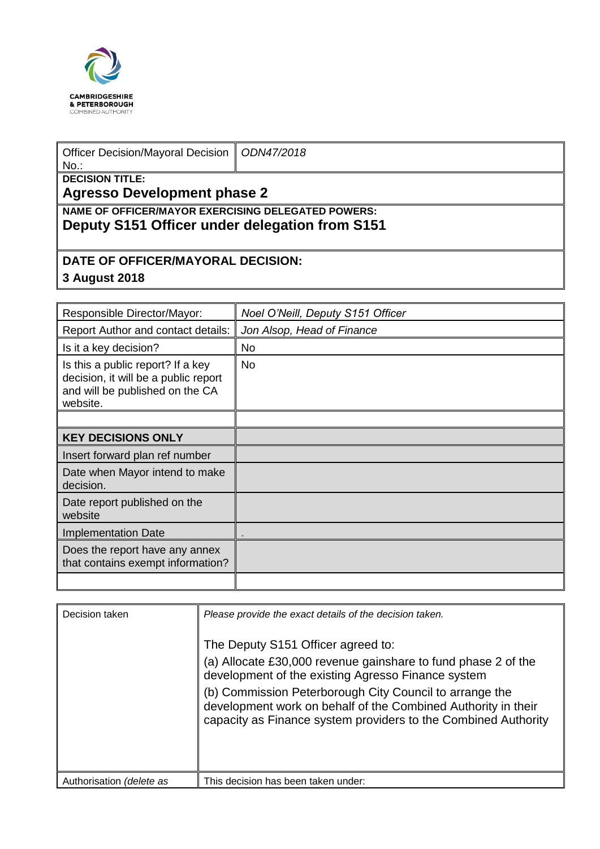

| <b>Officer Decision/Mayoral Decision</b><br>$No.$ :                                                         | ODN47/2018 |  |  |  |
|-------------------------------------------------------------------------------------------------------------|------------|--|--|--|
| <b>DECISION TITLE:</b><br><b>Agresso Development phase 2</b>                                                |            |  |  |  |
| <b>NAME OF OFFICER/MAYOR EXERCISING DELEGATED POWERS:</b><br>Deputy S151 Officer under delegation from S151 |            |  |  |  |
| DATE OF OFFICER/MAYORAL DECISION:<br>3 August 2018                                                          |            |  |  |  |

| Responsible Director/Mayor:                                                                                              | Noel O'Neill, Deputy S151 Officer |
|--------------------------------------------------------------------------------------------------------------------------|-----------------------------------|
| Report Author and contact details:                                                                                       | Jon Alsop, Head of Finance        |
| Is it a key decision?                                                                                                    | <b>No</b>                         |
| Is this a public report? If a key<br>decision, it will be a public report<br>and will be published on the CA<br>website. | <b>No</b>                         |
|                                                                                                                          |                                   |
| <b>KEY DECISIONS ONLY</b>                                                                                                |                                   |
| Insert forward plan ref number                                                                                           |                                   |
| Date when Mayor intend to make<br>decision.                                                                              |                                   |
| Date report published on the<br>website                                                                                  |                                   |
| <b>Implementation Date</b>                                                                                               |                                   |
| Does the report have any annex<br>that contains exempt information?                                                      |                                   |
|                                                                                                                          |                                   |

| Decision taken           | Please provide the exact details of the decision taken.<br>The Deputy S151 Officer agreed to:<br>(a) Allocate £30,000 revenue gainshare to fund phase 2 of the<br>development of the existing Agresso Finance system<br>(b) Commission Peterborough City Council to arrange the<br>development work on behalf of the Combined Authority in their<br>capacity as Finance system providers to the Combined Authority |
|--------------------------|--------------------------------------------------------------------------------------------------------------------------------------------------------------------------------------------------------------------------------------------------------------------------------------------------------------------------------------------------------------------------------------------------------------------|
| Authorisation (delete as | This decision has been taken under:                                                                                                                                                                                                                                                                                                                                                                                |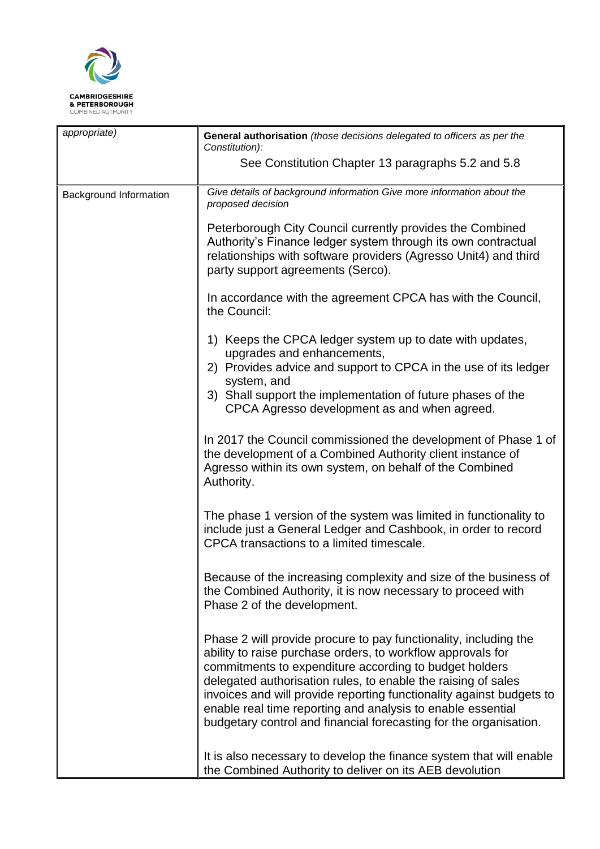

| appropriate)           | General authorisation (those decisions delegated to officers as per the<br>Constitution):                                                                                                                                                                                                                                                                                                                                                                              |  |
|------------------------|------------------------------------------------------------------------------------------------------------------------------------------------------------------------------------------------------------------------------------------------------------------------------------------------------------------------------------------------------------------------------------------------------------------------------------------------------------------------|--|
|                        | See Constitution Chapter 13 paragraphs 5.2 and 5.8                                                                                                                                                                                                                                                                                                                                                                                                                     |  |
| Background Information | Give details of background information Give more information about the<br>proposed decision                                                                                                                                                                                                                                                                                                                                                                            |  |
|                        | Peterborough City Council currently provides the Combined<br>Authority's Finance ledger system through its own contractual<br>relationships with software providers (Agresso Unit4) and third<br>party support agreements (Serco).                                                                                                                                                                                                                                     |  |
|                        | In accordance with the agreement CPCA has with the Council,<br>the Council:                                                                                                                                                                                                                                                                                                                                                                                            |  |
|                        | 1) Keeps the CPCA ledger system up to date with updates,<br>upgrades and enhancements,                                                                                                                                                                                                                                                                                                                                                                                 |  |
|                        | 2) Provides advice and support to CPCA in the use of its ledger<br>system, and<br>3) Shall support the implementation of future phases of the<br>CPCA Agresso development as and when agreed.                                                                                                                                                                                                                                                                          |  |
|                        | In 2017 the Council commissioned the development of Phase 1 of<br>the development of a Combined Authority client instance of<br>Agresso within its own system, on behalf of the Combined<br>Authority.                                                                                                                                                                                                                                                                 |  |
|                        | The phase 1 version of the system was limited in functionality to<br>include just a General Ledger and Cashbook, in order to record<br>CPCA transactions to a limited timescale.                                                                                                                                                                                                                                                                                       |  |
|                        | Because of the increasing complexity and size of the business of<br>the Combined Authority, it is now necessary to proceed with<br>Phase 2 of the development.                                                                                                                                                                                                                                                                                                         |  |
|                        | Phase 2 will provide procure to pay functionality, including the<br>ability to raise purchase orders, to workflow approvals for<br>commitments to expenditure according to budget holders<br>delegated authorisation rules, to enable the raising of sales<br>invoices and will provide reporting functionality against budgets to<br>enable real time reporting and analysis to enable essential<br>budgetary control and financial forecasting for the organisation. |  |
|                        | It is also necessary to develop the finance system that will enable<br>the Combined Authority to deliver on its AEB devolution                                                                                                                                                                                                                                                                                                                                         |  |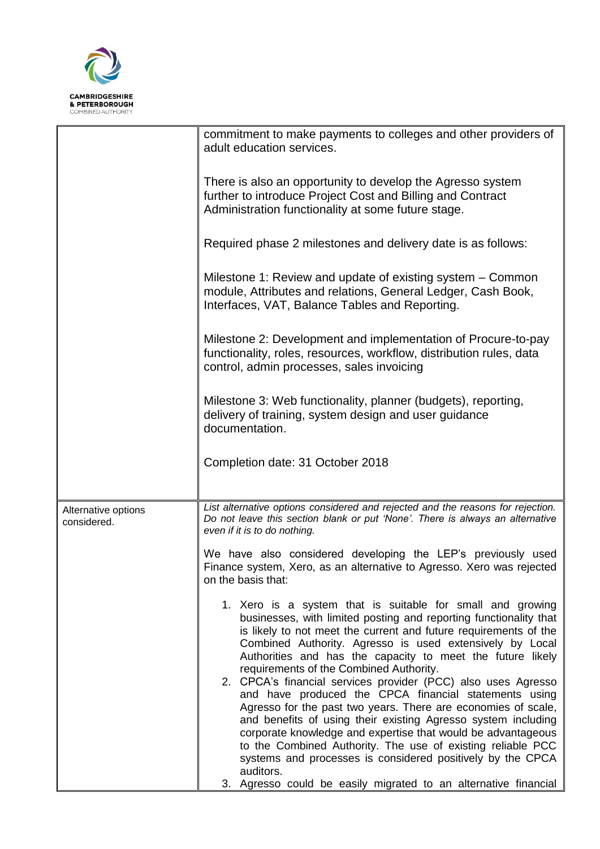

|                                    | commitment to make payments to colleges and other providers of<br>adult education services.                                                                                                                                                                                                                                                                                                                                                                                                                                                                                                                                                                                                                                                                                                                                                    |
|------------------------------------|------------------------------------------------------------------------------------------------------------------------------------------------------------------------------------------------------------------------------------------------------------------------------------------------------------------------------------------------------------------------------------------------------------------------------------------------------------------------------------------------------------------------------------------------------------------------------------------------------------------------------------------------------------------------------------------------------------------------------------------------------------------------------------------------------------------------------------------------|
|                                    | There is also an opportunity to develop the Agresso system<br>further to introduce Project Cost and Billing and Contract<br>Administration functionality at some future stage.                                                                                                                                                                                                                                                                                                                                                                                                                                                                                                                                                                                                                                                                 |
|                                    | Required phase 2 milestones and delivery date is as follows:                                                                                                                                                                                                                                                                                                                                                                                                                                                                                                                                                                                                                                                                                                                                                                                   |
|                                    | Milestone 1: Review and update of existing system – Common<br>module, Attributes and relations, General Ledger, Cash Book,<br>Interfaces, VAT, Balance Tables and Reporting.                                                                                                                                                                                                                                                                                                                                                                                                                                                                                                                                                                                                                                                                   |
|                                    | Milestone 2: Development and implementation of Procure-to-pay<br>functionality, roles, resources, workflow, distribution rules, data<br>control, admin processes, sales invoicing                                                                                                                                                                                                                                                                                                                                                                                                                                                                                                                                                                                                                                                              |
|                                    | Milestone 3: Web functionality, planner (budgets), reporting,<br>delivery of training, system design and user guidance<br>documentation.                                                                                                                                                                                                                                                                                                                                                                                                                                                                                                                                                                                                                                                                                                       |
|                                    | Completion date: 31 October 2018                                                                                                                                                                                                                                                                                                                                                                                                                                                                                                                                                                                                                                                                                                                                                                                                               |
| Alternative options<br>considered. | List alternative options considered and rejected and the reasons for rejection.<br>Do not leave this section blank or put 'None'. There is always an alternative<br>even if it is to do nothing.                                                                                                                                                                                                                                                                                                                                                                                                                                                                                                                                                                                                                                               |
|                                    | We have also considered developing the LEP's previously used<br>Finance system, Xero, as an alternative to Agresso. Xero was rejected<br>on the basis that:                                                                                                                                                                                                                                                                                                                                                                                                                                                                                                                                                                                                                                                                                    |
|                                    | 1. Xero is a system that is suitable for small and growing<br>businesses, with limited posting and reporting functionality that<br>is likely to not meet the current and future requirements of the<br>Combined Authority. Agresso is used extensively by Local<br>Authorities and has the capacity to meet the future likely<br>requirements of the Combined Authority.<br>2. CPCA's financial services provider (PCC) also uses Agresso<br>and have produced the CPCA financial statements using<br>Agresso for the past two years. There are economies of scale,<br>and benefits of using their existing Agresso system including<br>corporate knowledge and expertise that would be advantageous<br>to the Combined Authority. The use of existing reliable PCC<br>systems and processes is considered positively by the CPCA<br>auditors. |
|                                    | Agresso could be easily migrated to an alternative financial<br>3.                                                                                                                                                                                                                                                                                                                                                                                                                                                                                                                                                                                                                                                                                                                                                                             |